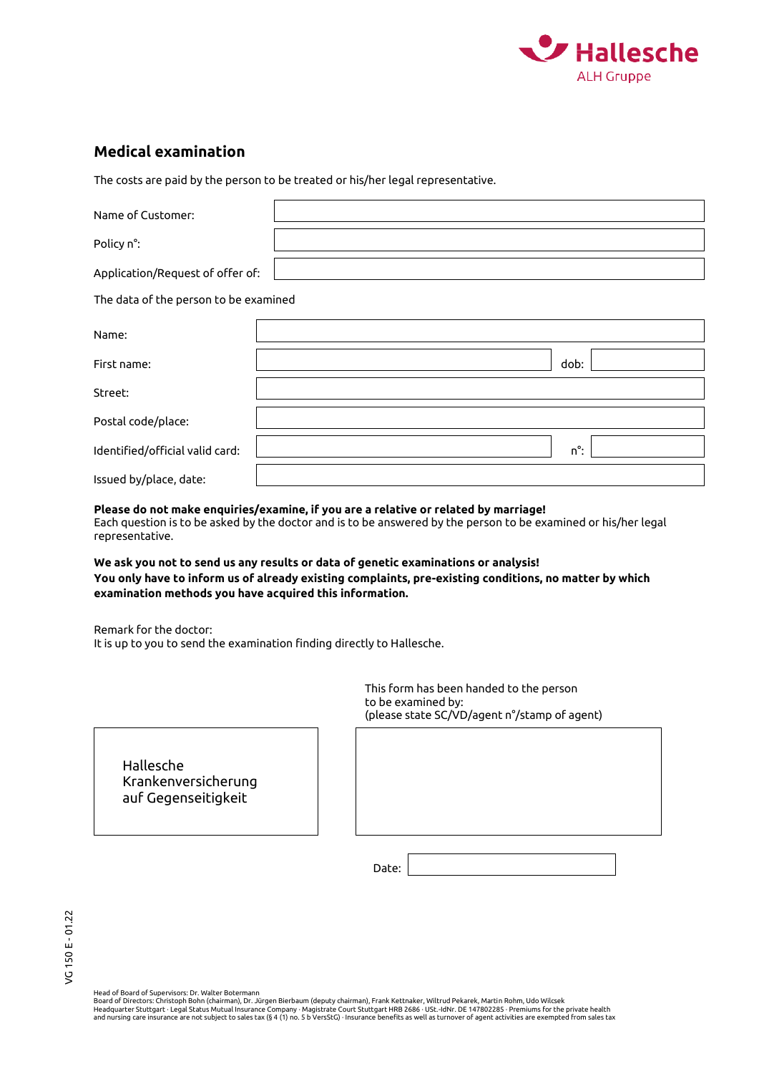

## **Medical examination**

The costs are paid by the person to be treated or his/her legal representative.

| Name of Customer:                     |      |  |  |  |  |  |  |
|---------------------------------------|------|--|--|--|--|--|--|
| Policy n°:                            |      |  |  |  |  |  |  |
| Application/Request of offer of:      |      |  |  |  |  |  |  |
| The data of the person to be examined |      |  |  |  |  |  |  |
| Name:                                 |      |  |  |  |  |  |  |
| First name:                           | dob: |  |  |  |  |  |  |
| Street:                               |      |  |  |  |  |  |  |
| Postal code/place:                    |      |  |  |  |  |  |  |
| Identified/official valid card:       | n°:  |  |  |  |  |  |  |
| Issued by/place, date:                |      |  |  |  |  |  |  |

## **Please do not make enquiries/examine, if you are a relative or related by marriage!**

Each question is to be asked by the doctor and is to be answered by the person to be examined or his/her legal representative.

**We ask you not to send us any results or data of genetic examinations or analysis! You only have to inform us of already existing complaints, pre-existing conditions, no matter by which examination methods you have acquired this information.**

Remark for the doctor: It is up to you to send the examination finding directly to Hallesche.

> This form has been handed to the person to be examined by: (please state SC/VD/agent n°/stamp of agent)

Hallesche Krankenversicherung auf Gegenseitigkeit

Date:

Head of Board of Supervisors: Dr. Walter Botermann<br>Board of Directors: Christoph Bohn (chairman), Dr. Jürgen Bierbaum (deputy chairman), Frank Kettnaker, Wiltrud Pekarek, Martin Rohm, Udo Wilcsek<br>Headquarter Stuttgart - Le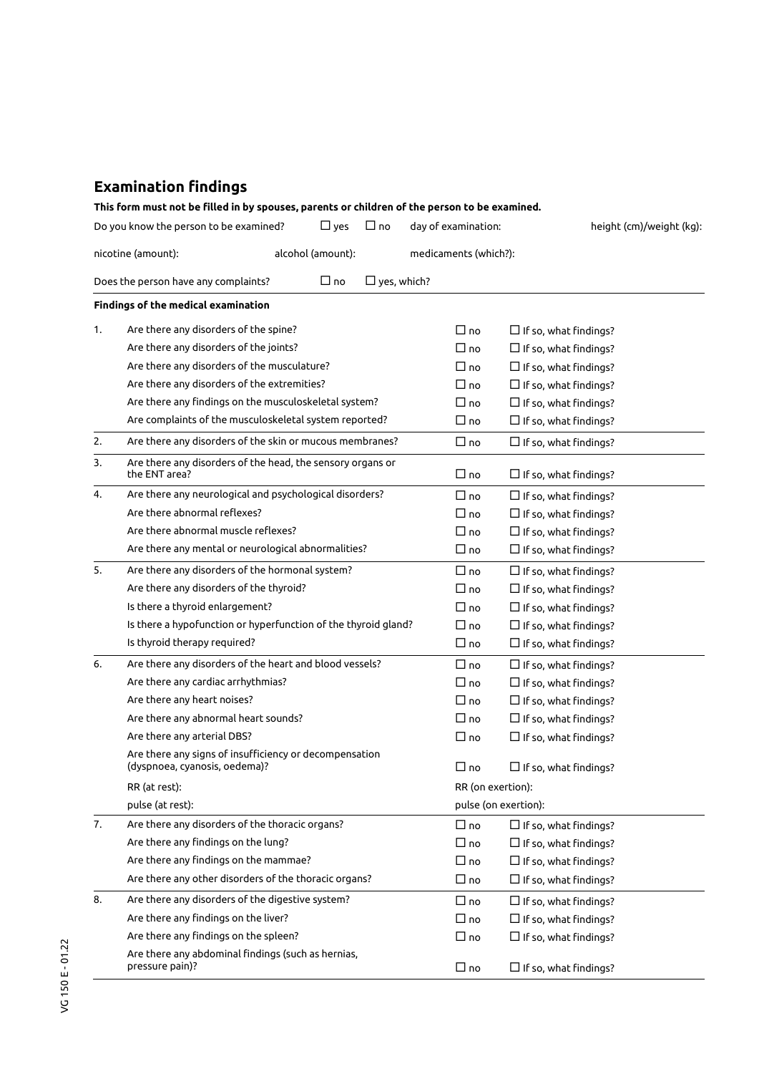## **Examination findings**

|                                         | This form must not be filled in by spouses, parents or children of the person to be examined. |            |                    |                       |                              |
|-----------------------------------------|-----------------------------------------------------------------------------------------------|------------|--------------------|-----------------------|------------------------------|
|                                         | Do you know the person to be examined?                                                        | $\Box$ yes | $\Box$ no          | day of examination:   | height (cm)/weight (kg):     |
| nicotine (amount):<br>alcohol (amount): |                                                                                               |            |                    | medicaments (which?): |                              |
|                                         | Does the person have any complaints?                                                          | $\Box$ no  | $\Box$ yes, which? |                       |                              |
|                                         | Findings of the medical examination                                                           |            |                    |                       |                              |
| 1.                                      | Are there any disorders of the spine?                                                         |            |                    | $\Box$ no             | $\Box$ If so, what findings? |
|                                         | Are there any disorders of the joints?                                                        |            |                    | $\Box$ no             | $\Box$ If so, what findings? |
|                                         | Are there any disorders of the musculature?                                                   |            |                    | $\Box$ no             | $\Box$ If so, what findings? |
|                                         | Are there any disorders of the extremities?                                                   |            |                    | $\Box$ no             | $\Box$ If so, what findings? |
|                                         | Are there any findings on the musculoskeletal system?                                         |            |                    | $\Box$ no             | $\Box$ If so, what findings? |
|                                         | Are complaints of the musculoskeletal system reported?                                        |            |                    | $\Box$ no             | $\Box$ If so, what findings? |
| 2.                                      | Are there any disorders of the skin or mucous membranes?                                      |            |                    | $\Box$ no             | $\Box$ If so, what findings? |
| 3.                                      | Are there any disorders of the head, the sensory organs or<br>the ENT area?                   |            |                    | $\Box$ no             | $\Box$ If so, what findings? |
| 4.                                      | Are there any neurological and psychological disorders?                                       |            |                    | $\Box$ no             | $\Box$ If so, what findings? |
|                                         | Are there abnormal reflexes?                                                                  |            |                    | $\Box$ no             | $\Box$ If so, what findings? |
|                                         | Are there abnormal muscle reflexes?                                                           |            |                    | $\Box$ no             | $\Box$ If so, what findings? |
|                                         | Are there any mental or neurological abnormalities?                                           |            |                    | $\Box$ no             | $\Box$ If so, what findings? |
| 5.                                      | Are there any disorders of the hormonal system?                                               |            |                    | $\Box$ no             | $\Box$ If so, what findings? |
|                                         | Are there any disorders of the thyroid?                                                       |            |                    | $\Box$ no             | $\Box$ If so, what findings? |
|                                         | Is there a thyroid enlargement?                                                               |            |                    | $\Box$ no             | $\Box$ If so, what findings? |
|                                         | Is there a hypofunction or hyperfunction of the thyroid gland?                                |            |                    | $\Box$ no             | $\Box$ If so, what findings? |
|                                         | Is thyroid therapy required?                                                                  |            |                    | $\Box$ no             | $\Box$ If so, what findings? |
| 6.                                      | Are there any disorders of the heart and blood vessels?                                       |            |                    | $\Box$ no             | $\Box$ If so, what findings? |
|                                         | Are there any cardiac arrhythmias?                                                            |            |                    | $\Box$ no             | $\Box$ If so, what findings? |
|                                         | Are there any heart noises?                                                                   |            |                    | $\Box$ no             | $\Box$ If so, what findings? |
|                                         | Are there any abnormal heart sounds?                                                          |            |                    | $\Box$ no             | $\Box$ If so, what findings? |
|                                         | Are there any arterial DBS?                                                                   |            |                    | $\Box$ no             | $\Box$ If so, what findings? |
|                                         | Are there any signs of insufficiency or decompensation<br>(dyspnoea, cyanosis, oedema)?       |            |                    | ∩ ∏                   | $\Box$ If so, what findings? |
|                                         | RR (at rest):                                                                                 |            |                    | RR (on exertion):     |                              |
|                                         | pulse (at rest):                                                                              |            |                    | pulse (on exertion):  |                              |
| 7.                                      | Are there any disorders of the thoracic organs?                                               |            |                    | $\Box$ no             |                              |
|                                         | Are there any findings on the lung?                                                           |            |                    | $\Box$ no             | $\Box$ If so, what findings? |
|                                         | Are there any findings on the mammae?                                                         |            |                    | $\Box$ no             | $\Box$ If so, what findings? |
|                                         | Are there any other disorders of the thoracic organs?                                         |            |                    |                       | $\Box$ If so, what findings? |
|                                         |                                                                                               |            |                    | $\Box$ no             | $\Box$ If so, what findings? |
| 8.                                      | Are there any disorders of the digestive system?                                              |            |                    | $\Box$ no             | $\Box$ If so, what findings? |
|                                         | Are there any findings on the liver?                                                          |            |                    | $\Box$ no             | $\Box$ If so, what findings? |
|                                         | Are there any findings on the spleen?                                                         |            |                    | $\Box$ no             | $\Box$ If so, what findings? |
|                                         | Are there any abdominal findings (such as hernias,<br>pressure pain)?                         |            |                    | $\Box$ no             | $\Box$ If so, what findings? |